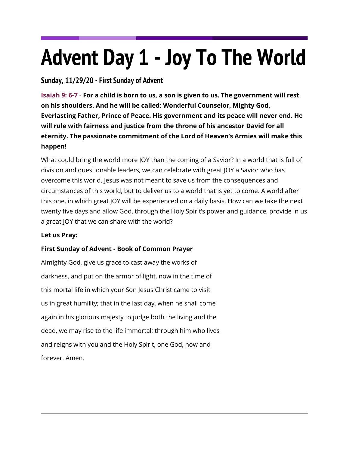# **Advent Day 1 - Joy To The World**

## **Sunday, 11/29/20 - First Sunday of Advent**

**Isaiah 9: 6-7** - **For a child is born to us, a son is given to us. The government will rest on his shoulders. And he will be called: Wonderful Counselor, Mighty God, Everlasting Father, Prince of Peace. His government and its peace will never end. He will rule with fairness and justice from the throne of his ancestor David for all eternity. The passionate commitment of the Lord of Heaven's Armies will make this happen!**

What could bring the world more JOY than the coming of a Savior? In a world that is full of division and questionable leaders, we can celebrate with great JOY a Savior who has overcome this world. Jesus was not meant to save us from the consequences and circumstances of this world, but to deliver us to a world that is yet to come. A world after this one, in which great JOY will be experienced on a daily basis. How can we take the next twenty five days and allow God, through the Holy Spirit's power and guidance, provide in us a great JOY that we can share with the world?

### **Let us Pray:**

### **First Sunday of Advent - Book of Common Prayer**

Almighty God, give us grace to cast away the works of darkness, and put on the armor of light, now in the time of this mortal life in which your Son Jesus Christ came to visit us in great humility; that in the last day, when he shall come again in his glorious majesty to judge both the living and the dead, we may rise to the life immortal; through him who lives and reigns with you and the Holy Spirit, one God, now and forever. Amen.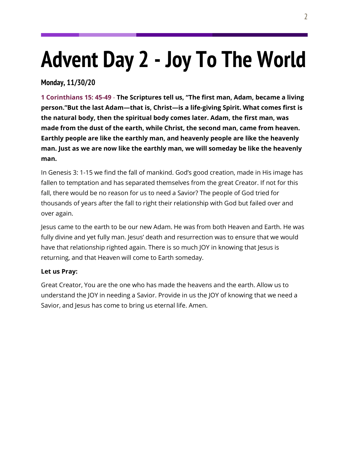# **Advent Day 2 - Joy To The World**

### **Monday, 11/30/20**

**1 Corinthians 15: 45-49** - **The Scriptures tell us, "The first man, Adam, became a living person."But the last Adam—that is, Christ—is a life-giving Spirit. What comes first is the natural body, then the spiritual body comes later. Adam, the first man, was made from the dust of the earth, while Christ, the second man, came from heaven. Earthly people are like the earthly man, and heavenly people are like the heavenly man. Just as we are now like the earthly man, we will someday be like the heavenly man.**

In Genesis 3: 1-15 we find the fall of mankind. God's good creation, made in His image has fallen to temptation and has separated themselves from the great Creator. If not for this fall, there would be no reason for us to need a Savior? The people of God tried for thousands of years after the fall to right their relationship with God but failed over and over again.

Jesus came to the earth to be our new Adam. He was from both Heaven and Earth. He was fully divine and yet fully man. Jesus' death and resurrection was to ensure that we would have that relationship righted again. There is so much JOY in knowing that Jesus is returning, and that Heaven will come to Earth someday.

#### **Let us Pray:**

Great Creator, You are the one who has made the heavens and the earth. Allow us to understand the JOY in needing a Savior. Provide in us the JOY of knowing that we need a Savior, and Jesus has come to bring us eternal life. Amen.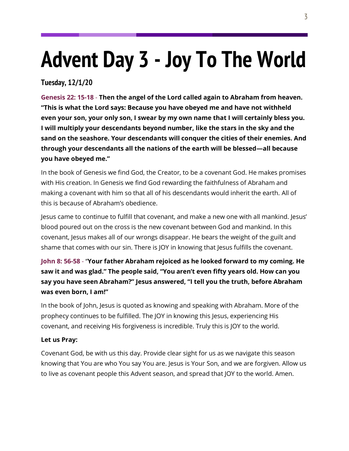# **Advent Day 3 - Joy To The World**

## **Tuesday, 12/1/20**

**Genesis 22: 15-18** - **Then the angel of the Lord called again to Abraham from heaven. "This is what the Lord says: Because you have obeyed me and have not withheld even your son, your only son, I swear by my own name that I will certainly bless you. I will multiply your descendants beyond number, like the stars in the sky and the sand on the seashore. Your descendants will conquer the cities of their enemies. And through your descendants all the nations of the earth will be blessed—all because you have obeyed me."**

In the book of Genesis we find God, the Creator, to be a covenant God. He makes promises with His creation. In Genesis we find God rewarding the faithfulness of Abraham and making a covenant with him so that all of his descendants would inherit the earth. All of this is because of Abraham's obedience.

Jesus came to continue to fulfill that covenant, and make a new one with all mankind. Jesus' blood poured out on the cross is the new covenant between God and mankind. In this covenant, Jesus makes all of our wrongs disappear. He bears the weight of the guilt and shame that comes with our sin. There is JOY in knowing that Jesus fulfills the covenant.

## **John 8: 56-58** - "**Your father Abraham rejoiced as he looked forward to my coming. He saw it and was glad." The people said, "You aren't even fifty years old. How can you say you have seen Abraham?" Jesus answered, "I tell you the truth, before Abraham was even born, I am!"**

In the book of John, Jesus is quoted as knowing and speaking with Abraham. More of the prophecy continues to be fulfilled. The JOY in knowing this Jesus, experiencing His covenant, and receiving His forgiveness is incredible. Truly this is JOY to the world.

### **Let us Pray:**

Covenant God, be with us this day. Provide clear sight for us as we navigate this season knowing that You are who You say You are. Jesus is Your Son, and we are forgiven. Allow us to live as covenant people this Advent season, and spread that JOY to the world. Amen.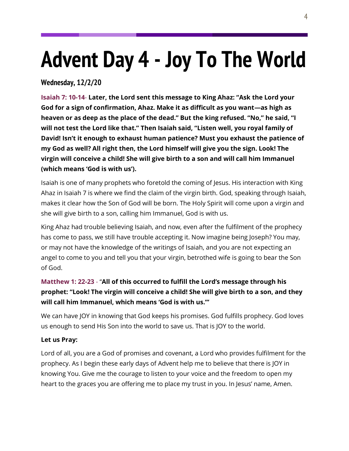# **Advent Day 4 - Joy To The World**

### **Wednesday, 12/2/20**

**Isaiah 7: 10-14**- **Later, the Lord sent this message to King Ahaz: "Ask the Lord your God for a sign of confirmation, Ahaz. Make it as difficult as you want—as high as heaven or as deep as the place of the dead." But the king refused. "No," he said, "I will not test the Lord like that." Then Isaiah said, "Listen well, you royal family of David! Isn't it enough to exhaust human patience? Must you exhaust the patience of my God as well? All right then, the Lord himself will give you the sign. Look! The virgin will conceive a child! She will give birth to a son and will call him Immanuel (which means 'God is with us').**

Isaiah is one of many prophets who foretold the coming of Jesus. His interaction with King Ahaz in Isaiah 7 is where we find the claim of the virgin birth. God, speaking through Isaiah, makes it clear how the Son of God will be born. The Holy Spirit will come upon a virgin and she will give birth to a son, calling him Immanuel, God is with us.

King Ahaz had trouble believing Isaiah, and now, even after the fulfilment of the prophecy has come to pass, we still have trouble accepting it. Now imagine being Joseph? You may, or may not have the knowledge of the writings of Isaiah, and you are not expecting an angel to come to you and tell you that your virgin, betrothed wife is going to bear the Son of God.

## **Matthew 1: 22-23** - "**All of this occurred to fulfill the Lord's message through his prophet: "Look! The virgin will conceive a child! She will give birth to a son, and they will call him Immanuel, which means 'God is with us.'"**

We can have JOY in knowing that God keeps his promises. God fulfills prophecy. God loves us enough to send His Son into the world to save us. That is JOY to the world.

### **Let us Pray:**

Lord of all, you are a God of promises and covenant, a Lord who provides fulfilment for the prophecy. As I begin these early days of Advent help me to believe that there is JOY in knowing You. Give me the courage to listen to your voice and the freedom to open my heart to the graces you are offering me to place my trust in you. In Jesus' name, Amen.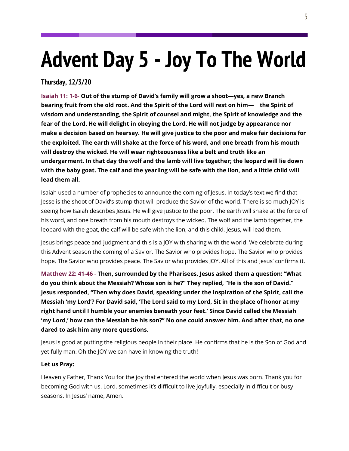# **Advent Day 5 - Joy To The World**

#### **Thursday, 12/3/20**

**Isaiah 11: 1-6**- **Out of the stump of David's family will grow a shoot—yes, a new Branch bearing fruit from the old root. And the Spirit of the Lord will rest on him— the Spirit of wisdom and understanding, the Spirit of counsel and might, the Spirit of knowledge and the fear of the Lord. He will delight in obeying the Lord. He will not judge by appearance nor make a decision based on hearsay. He will give justice to the poor and make fair decisions for the exploited. The earth will shake at the force of his word, and one breath from his mouth will destroy the wicked. He will wear righteousness like a belt and truth like an undergarment. In that day the wolf and the lamb will live together; the leopard will lie down with the baby goat. The calf and the yearling will be safe with the lion, and a little child will lead them all.**

Isaiah used a number of prophecies to announce the coming of Jesus. In today's text we find that Jesse is the shoot of David's stump that will produce the Savior of the world. There is so much JOY is seeing how Isaiah describes Jesus. He will give justice to the poor. The earth will shake at the force of his word, and one breath from his mouth destroys the wicked. The wolf and the lamb together, the leopard with the goat, the calf will be safe with the lion, and this child, Jesus, will lead them.

Jesus brings peace and judgment and this is a JOY with sharing with the world. We celebrate during this Advent season the coming of a Savior. The Savior who provides hope. The Savior who provides hope. The Savior who provides peace. The Savior who provides JOY. All of this and Jesus' confirms it.

**Matthew 22: 41-46** - **Then, surrounded by the Pharisees, Jesus asked them a question: "What do you think about the Messiah? Whose son is he?" They replied, "He is the son of David." Jesus responded, "Then why does David, speaking under the inspiration of the Spirit, call the Messiah 'my Lord'? For David said, 'The Lord said to my Lord, Sit in the place of honor at my right hand until I humble your enemies beneath your feet.' Since David called the Messiah 'my Lord,' how can the Messiah be his son?" No one could answer him. And after that, no one dared to ask him any more questions.**

Jesus is good at putting the religious people in their place. He confirms that he is the Son of God and yet fully man. Oh the JOY we can have in knowing the truth!

#### **Let us Pray:**

Heavenly Father, Thank You for the joy that entered the world when Jesus was born. Thank you for becoming God with us. Lord, sometimes it's difficult to live joyfully, especially in difficult or busy seasons. In Jesus' name, Amen.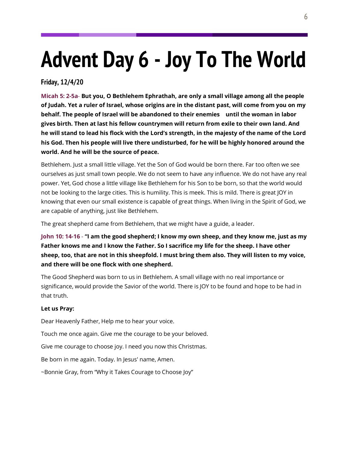# **Advent Day 6 - Joy To The World**

#### **Friday, 12/4/20**

**Micah 5: 2-5a**- **But you, O Bethlehem Ephrathah, are only a small village among all the people of Judah. Yet a ruler of Israel, whose origins are in the distant past, will come from you on my behalf. The people of Israel will be abandoned to their enemies until the woman in labor gives birth. Then at last his fellow countrymen will return from exile to their own land. And he will stand to lead his flock with the Lord's strength, in the majesty of the name of the Lord his God. Then his people will live there undisturbed, for he will be highly honored around the world. And he will be the source of peace.**

Bethlehem. Just a small little village. Yet the Son of God would be born there. Far too often we see ourselves as just small town people. We do not seem to have any influence. We do not have any real power. Yet, God chose a little village like Bethlehem for his Son to be born, so that the world would not be looking to the large cities. This is humility. This is meek. This is mild. There is great JOY in knowing that even our small existence is capable of great things. When living in the Spirit of God, we are capable of anything, just like Bethlehem.

The great shepherd came from Bethlehem, that we might have a guide, a leader.

**John 10: 14-16** - **"I am the good shepherd; I know my own sheep, and they know me, just as my Father knows me and I know the Father. So I sacrifice my life for the sheep. I have other sheep, too, that are not in this sheepfold. I must bring them also. They will listen to my voice, and there will be one flock with one shepherd.**

The Good Shepherd was born to us in Bethlehem. A small village with no real importance or significance, would provide the Savior of the world. There is JOY to be found and hope to be had in that truth.

#### **Let us Pray:**

Dear Heavenly Father, Help me to hear your voice.

Touch me once again. Give me the courage to be your beloved.

Give me courage to choose joy. I need you now this Christmas.

Be born in me again. Today. In Jesus' name, Amen.

~Bonnie Gray, from "Why it Takes Courage to Choose Joy"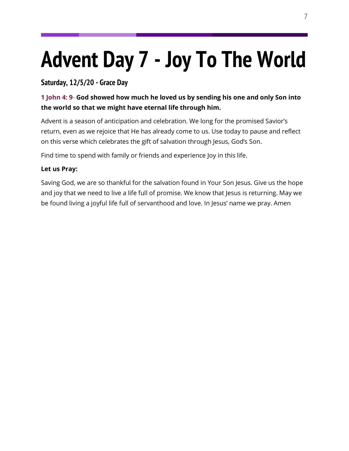# **Advent Day 7 - Joy To The World**

## **Saturday, 12/5/20 - Grace Day**

## **1 John 4: 9**- **God showed how much he loved us by sending his one and only Son into the world so that we might have eternal life through him.**

Advent is a season of anticipation and celebration. We long for the promised Savior's return, even as we rejoice that He has already come to us. Use today to pause and reflect on this verse which celebrates the gift of salvation through Jesus, God's Son.

Find time to spend with family or friends and experience Joy in this life.

### **Let us Pray:**

Saving God, we are so thankful for the salvation found in Your Son Jesus. Give us the hope and joy that we need to live a life full of promise. We know that Jesus is returning. May we be found living a joyful life full of servanthood and love. In Jesus' name we pray. Amen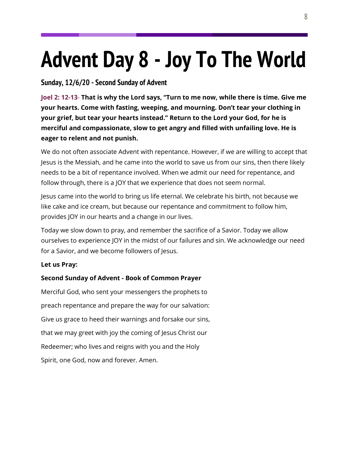## **Advent Day 8 - Joy To The World**

### **Sunday, 12/6/20 - Second Sunday of Advent**

**Joel 2: 12-13**- **That is why the Lord says, "Turn to me now, while there is time. Give me your hearts. Come with fasting, weeping, and mourning. Don't tear your clothing in your grief, but tear your hearts instead." Return to the Lord your God, for he is merciful and compassionate, slow to get angry and filled with unfailing love. He is eager to relent and not punish.**

We do not often associate Advent with repentance. However, if we are willing to accept that Jesus is the Messiah, and he came into the world to save us from our sins, then there likely needs to be a bit of repentance involved. When we admit our need for repentance, and follow through, there is a JOY that we experience that does not seem normal.

Jesus came into the world to bring us life eternal. We celebrate his birth, not because we like cake and ice cream, but because our repentance and commitment to follow him, provides JOY in our hearts and a change in our lives.

Today we slow down to pray, and remember the sacrifice of a Savior. Today we allow ourselves to experience JOY in the midst of our failures and sin. We acknowledge our need for a Savior, and we become followers of Jesus.

#### **Let us Pray:**

### **Second Sunday of Advent - Book of Common Prayer**

Merciful God, who sent your messengers the prophets to preach repentance and prepare the way for our salvation: Give us grace to heed their warnings and forsake our sins, that we may greet with joy the coming of Jesus Christ our Redeemer; who lives and reigns with you and the Holy Spirit, one God, now and forever. Amen.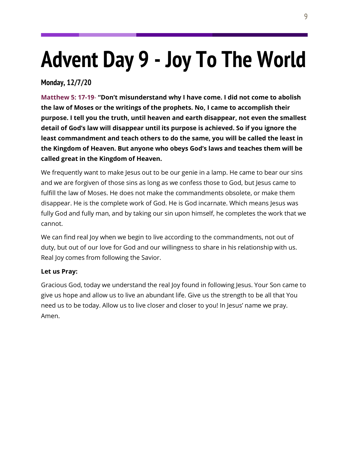# **Advent Day 9 - Joy To The World**

## **Monday, 12/7/20**

**Matthew 5: 17-19**- **"Don't misunderstand why I have come. I did not come to abolish the law of Moses or the writings of the prophets. No, I came to accomplish their purpose. I tell you the truth, until heaven and earth disappear, not even the smallest detail of God's law will disappear until its purpose is achieved. So if you ignore the least commandment and teach others to do the same, you will be called the least in the Kingdom of Heaven. But anyone who obeys God's laws and teaches them will be called great in the Kingdom of Heaven.**

We frequently want to make Jesus out to be our genie in a lamp. He came to bear our sins and we are forgiven of those sins as long as we confess those to God, but Jesus came to fulfill the law of Moses. He does not make the commandments obsolete, or make them disappear. He is the complete work of God. He is God incarnate. Which means Jesus was fully God and fully man, and by taking our sin upon himself, he completes the work that we cannot.

We can find real Joy when we begin to live according to the commandments, not out of duty, but out of our love for God and our willingness to share in his relationship with us. Real Joy comes from following the Savior.

### **Let us Pray:**

Gracious God, today we understand the real Joy found in following Jesus. Your Son came to give us hope and allow us to live an abundant life. Give us the strength to be all that You need us to be today. Allow us to live closer and closer to you! In Jesus' name we pray. Amen.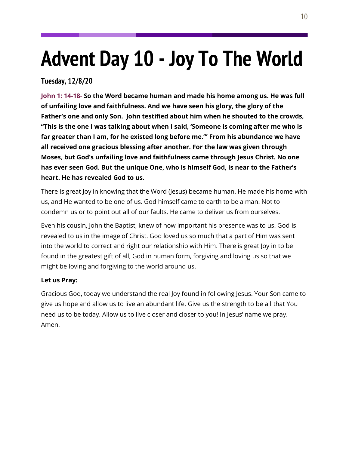## **Advent Day 10 - Joy To The World**

## **Tuesday, 12/8/20**

**John 1: 14-18**- **So the Word became human and made his home among us. He was full of unfailing love and faithfulness. And we have seen his glory, the glory of the Father's one and only Son. John testified about him when he shouted to the crowds, "This is the one I was talking about when I said, 'Someone is coming after me who is far greater than I am, for he existed long before me.'" From his abundance we have all received one gracious blessing after another. For the law was given through Moses, but God's unfailing love and faithfulness came through Jesus Christ. No one has ever seen God. But the unique One, who is himself God, is near to the Father's heart. He has revealed God to us.**

There is great Joy in knowing that the Word (Jesus) became human. He made his home with us, and He wanted to be one of us. God himself came to earth to be a man. Not to condemn us or to point out all of our faults. He came to deliver us from ourselves.

Even his cousin, John the Baptist, knew of how important his presence was to us. God is revealed to us in the image of Christ. God loved us so much that a part of Him was sent into the world to correct and right our relationship with Him. There is great Joy in to be found in the greatest gift of all, God in human form, forgiving and loving us so that we might be loving and forgiving to the world around us.

### **Let us Pray:**

Gracious God, today we understand the real Joy found in following Jesus. Your Son came to give us hope and allow us to live an abundant life. Give us the strength to be all that You need us to be today. Allow us to live closer and closer to you! In Jesus' name we pray. Amen.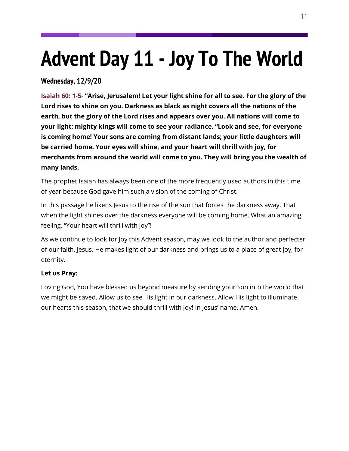# **Advent Day 11 - Joy To The World**

### **Wednesday, 12/9/20**

**Isaiah 60: 1-5**- **"Arise, Jerusalem! Let your light shine for all to see. For the glory of the Lord rises to shine on you. Darkness as black as night covers all the nations of the earth, but the glory of the Lord rises and appears over you. All nations will come to your light; mighty kings will come to see your radiance. "Look and see, for everyone is coming home! Your sons are coming from distant lands; your little daughters will be carried home. Your eyes will shine, and your heart will thrill with joy, for merchants from around the world will come to you. They will bring you the wealth of many lands.**

The prophet Isaiah has always been one of the more frequently used authors in this time of year because God gave him such a vision of the coming of Christ.

In this passage he likens Jesus to the rise of the sun that forces the darkness away. That when the light shines over the darkness everyone will be coming home. What an amazing feeling. "Your heart will thrill with joy"!

As we continue to look for Joy this Advent season, may we look to the author and perfecter of our faith, Jesus. He makes light of our darkness and brings us to a place of great joy, for eternity.

### **Let us Pray:**

Loving God, You have blessed us beyond measure by sending your Son into the world that we might be saved. Allow us to see His light in our darkness. Allow His light to illuminate our hearts this season, that we should thrill with joy! In Jesus' name. Amen.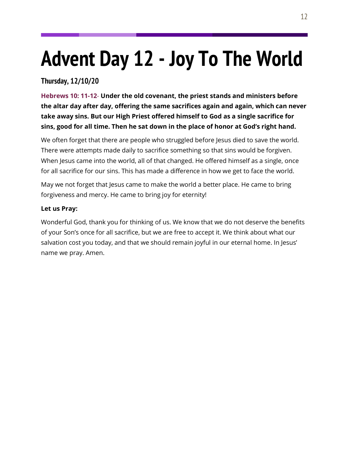# **Advent Day 12 - Joy To The World**

## **Thursday, 12/10/20**

**Hebrews 10: 11-12**- **Under the old covenant, the priest stands and ministers before the altar day after day, offering the same sacrifices again and again, which can never take away sins. But our High Priest offered himself to God as a single sacrifice for sins, good for all time. Then he sat down in the place of honor at God's right hand.** 

We often forget that there are people who struggled before Jesus died to save the world. There were attempts made daily to sacrifice something so that sins would be forgiven. When Jesus came into the world, all of that changed. He offered himself as a single, once for all sacrifice for our sins. This has made a difference in how we get to face the world.

May we not forget that Jesus came to make the world a better place. He came to bring forgiveness and mercy. He came to bring joy for eternity!

### **Let us Pray:**

Wonderful God, thank you for thinking of us. We know that we do not deserve the benefits of your Son's once for all sacrifice, but we are free to accept it. We think about what our salvation cost you today, and that we should remain joyful in our eternal home. In Jesus' name we pray. Amen.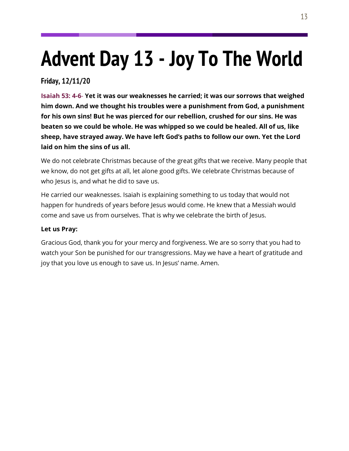## **Advent Day 13 - Joy To The World**

## **Friday, 12/11/20**

**Isaiah 53: 4-6**- **Yet it was our weaknesses he carried; it was our sorrows that weighed him down. And we thought his troubles were a punishment from God, a punishment for his own sins! But he was pierced for our rebellion, crushed for our sins. He was beaten so we could be whole. He was whipped so we could be healed. All of us, like sheep, have strayed away. We have left God's paths to follow our own. Yet the Lord laid on him the sins of us all.**

We do not celebrate Christmas because of the great gifts that we receive. Many people that we know, do not get gifts at all, let alone good gifts. We celebrate Christmas because of who Jesus is, and what he did to save us.

He carried our weaknesses. Isaiah is explaining something to us today that would not happen for hundreds of years before Jesus would come. He knew that a Messiah would come and save us from ourselves. That is why we celebrate the birth of Jesus.

#### **Let us Pray:**

Gracious God, thank you for your mercy and forgiveness. We are so sorry that you had to watch your Son be punished for our transgressions. May we have a heart of gratitude and joy that you love us enough to save us. In Jesus' name. Amen.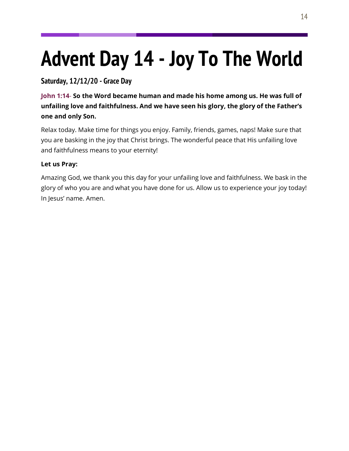## **Advent Day 14 - Joy To The World**

## **Saturday, 12/12/20 - Grace Day**

**John 1:14**- **So the Word became human and made his home among us. He was full of unfailing love and faithfulness. And we have seen his glory, the glory of the Father's one and only Son.**

Relax today. Make time for things you enjoy. Family, friends, games, naps! Make sure that you are basking in the joy that Christ brings. The wonderful peace that His unfailing love and faithfulness means to your eternity!

### **Let us Pray:**

Amazing God, we thank you this day for your unfailing love and faithfulness. We bask in the glory of who you are and what you have done for us. Allow us to experience your joy today! In Jesus' name. Amen.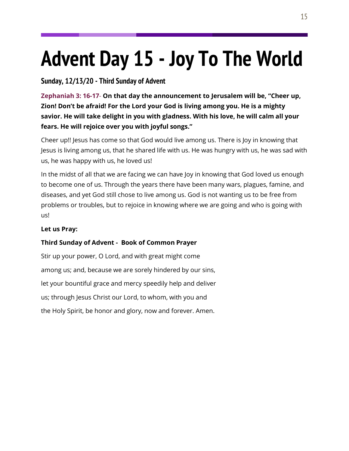## **Advent Day 15 - Joy To The World**

## **Sunday, 12/13/20 - Third Sunday of Advent**

**Zephaniah 3: 16-17**- **On that day the announcement to Jerusalem will be, "Cheer up, Zion! Don't be afraid! For the Lord your God is living among you. He is a mighty savior. He will take delight in you with gladness. With his love, he will calm all your fears. He will rejoice over you with joyful songs."**

Cheer up!! Jesus has come so that God would live among us. There is Joy in knowing that Jesus is living among us, that he shared life with us. He was hungry with us, he was sad with us, he was happy with us, he loved us!

In the midst of all that we are facing we can have Joy in knowing that God loved us enough to become one of us. Through the years there have been many wars, plagues, famine, and diseases, and yet God still chose to live among us. God is not wanting us to be free from problems or troubles, but to rejoice in knowing where we are going and who is going with us!

### **Let us Pray:**

### **Third Sunday of Advent - Book of Common Prayer**

Stir up your power, O Lord, and with great might come among us; and, because we are sorely hindered by our sins, let your bountiful grace and mercy speedily help and deliver us; through Jesus Christ our Lord, to whom, with you and the Holy Spirit, be honor and glory, now and forever. Amen.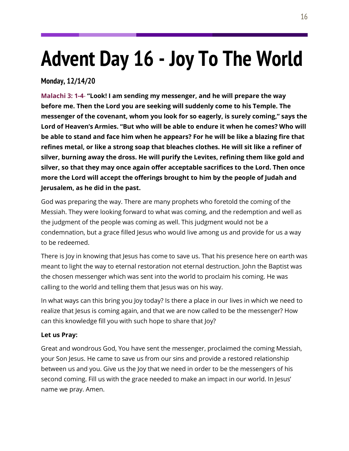## **Advent Day 16 - Joy To The World**

### **Monday, 12/14/20**

**Malachi 3: 1-4**- **"Look! I am sending my messenger, and he will prepare the way before me. Then the Lord you are seeking will suddenly come to his Temple. The messenger of the covenant, whom you look for so eagerly, is surely coming," says the Lord of Heaven's Armies. "But who will be able to endure it when he comes? Who will be able to stand and face him when he appears? For he will be like a blazing fire that refines metal, or like a strong soap that bleaches clothes. He will sit like a refiner of silver, burning away the dross. He will purify the Levites, refining them like gold and silver, so that they may once again offer acceptable sacrifices to the Lord. Then once more the Lord will accept the offerings brought to him by the people of Judah and Jerusalem, as he did in the past.**

God was preparing the way. There are many prophets who foretold the coming of the Messiah. They were looking forward to what was coming, and the redemption and well as the judgment of the people was coming as well. This judgment would not be a condemnation, but a grace filled Jesus who would live among us and provide for us a way to be redeemed.

There is Joy in knowing that Jesus has come to save us. That his presence here on earth was meant to light the way to eternal restoration not eternal destruction. John the Baptist was the chosen messenger which was sent into the world to proclaim his coming. He was calling to the world and telling them that Jesus was on his way.

In what ways can this bring you Joy today? Is there a place in our lives in which we need to realize that Jesus is coming again, and that we are now called to be the messenger? How can this knowledge fill you with such hope to share that Joy?

### **Let us Pray:**

Great and wondrous God, You have sent the messenger, proclaimed the coming Messiah, your Son Jesus. He came to save us from our sins and provide a restored relationship between us and you. Give us the Joy that we need in order to be the messengers of his second coming. Fill us with the grace needed to make an impact in our world. In Jesus' name we pray. Amen.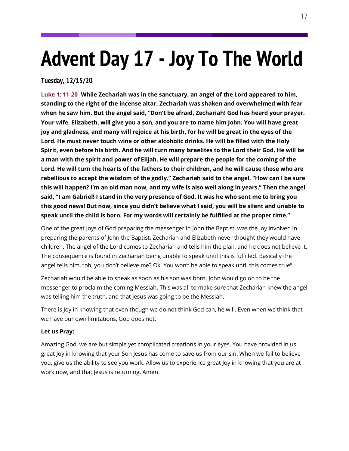## **Advent Day 17 - Joy To The World**

#### **Tuesday, 12/15/20**

**Luke 1: 11-20**- **While Zechariah was in the sanctuary, an angel of the Lord appeared to him, standing to the right of the incense altar. Zechariah was shaken and overwhelmed with fear when he saw him. But the angel said, "Don't be afraid, Zechariah! God has heard your prayer. Your wife, Elizabeth, will give you a son, and you are to name him John. You will have great joy and gladness, and many will rejoice at his birth, for he will be great in the eyes of the Lord. He must never touch wine or other alcoholic drinks. He will be filled with the Holy Spirit, even before his birth. And he will turn many Israelites to the Lord their God. He will be a man with the spirit and power of Elijah. He will prepare the people for the coming of the Lord. He will turn the hearts of the fathers to their children, and he will cause those who are rebellious to accept the wisdom of the godly." Zechariah said to the angel, "How can I be sure this will happen? I'm an old man now, and my wife is also well along in years." Then the angel said, "I am Gabriel! I stand in the very presence of God. It was he who sent me to bring you this good news! But now, since you didn't believe what I said, you will be silent and unable to speak until the child is born. For my words will certainly be fulfilled at the proper time."**

One of the great Joys of God preparing the messenger in John the Baptist, was the Joy involved in preparing the parents of John the Baptist. Zechariah and Elizabeth never thought they would have children. The angel of the Lord comes to Zechariah and tells him the plan, and he does not believe it. The consequence is found in Zechariah being unable to speak until this is fulfilled. Basically the angel tells him, "oh, you don't believe me? Ok. You won't be able to speak until this comes true".

Zechariah would be able to speak as soon as his son was born. John would go on to be the messenger to proclaim the coming Messiah. This was all to make sure that Zechariah knew the angel was telling him the truth, and that Jesus was going to be the Messiah.

There is Joy in knowing that even though we do not think God can, he will. Even when we think that we have our own limitations, God does not.

#### **Let us Pray:**

Amazing God, we are but simple yet complicated creations in your eyes. You have provided in us great Joy in knowing that your Son Jesus has come to save us from our sin. When we fail to believe you, give us the ability to see you work. Allow us to experience great Joy in knowing that you are at work now, and that Jesus is returning. Amen.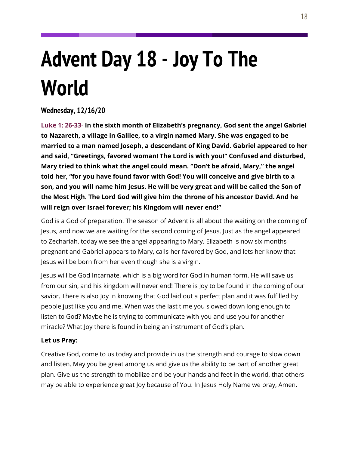## **Advent Day 18 - Joy To The World**

## **Wednesday, 12/16/20**

**Luke 1: 26-33**- **In the sixth month of Elizabeth's pregnancy, God sent the angel Gabriel to Nazareth, a village in Galilee, to a virgin named Mary. She was engaged to be married to a man named Joseph, a descendant of King David. Gabriel appeared to her and said, "Greetings, favored woman! The Lord is with you!" Confused and disturbed, Mary tried to think what the angel could mean. "Don't be afraid, Mary," the angel told her, "for you have found favor with God! You will conceive and give birth to a son, and you will name him Jesus. He will be very great and will be called the Son of the Most High. The Lord God will give him the throne of his ancestor David. And he will reign over Israel forever; his Kingdom will never end!"**

God is a God of preparation. The season of Advent is all about the waiting on the coming of Jesus, and now we are waiting for the second coming of Jesus. Just as the angel appeared to Zechariah, today we see the angel appearing to Mary. Elizabeth is now six months pregnant and Gabriel appears to Mary, calls her favored by God, and lets her know that Jesus will be born from her even though she is a virgin.

Jesus will be God Incarnate, which is a big word for God in human form. He will save us from our sin, and his kingdom will never end! There is Joy to be found in the coming of our savior. There is also Joy in knowing that God laid out a perfect plan and it was fulfilled by people just like you and me. When was the last time you slowed down long enough to listen to God? Maybe he is trying to communicate with you and use you for another miracle? What Joy there is found in being an instrument of God's plan.

### **Let us Pray:**

Creative God, come to us today and provide in us the strength and courage to slow down and listen. May you be great among us and give us the ability to be part of another great plan. Give us the strength to mobilize and be your hands and feet in the world, that others may be able to experience great Joy because of You. In Jesus Holy Name we pray, Amen.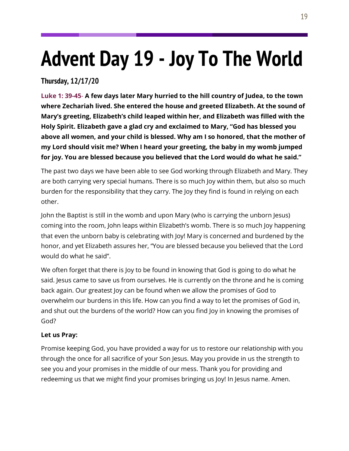## **Advent Day 19 - Joy To The World**

**Thursday, 12/17/20**

**Luke 1: 39-45**- **A few days later Mary hurried to the hill country of Judea, to the town where Zechariah lived. She entered the house and greeted Elizabeth. At the sound of Mary's greeting, Elizabeth's child leaped within her, and Elizabeth was filled with the Holy Spirit. Elizabeth gave a glad cry and exclaimed to Mary, "God has blessed you above all women, and your child is blessed. Why am I so honored, that the mother of my Lord should visit me? When I heard your greeting, the baby in my womb jumped for joy. You are blessed because you believed that the Lord would do what he said."**

The past two days we have been able to see God working through Elizabeth and Mary. They are both carrying very special humans. There is so much Joy within them, but also so much burden for the responsibility that they carry. The Joy they find is found in relying on each other.

John the Baptist is still in the womb and upon Mary (who is carrying the unborn Jesus) coming into the room, John leaps within Elizabeth's womb. There is so much Joy happening that even the unborn baby is celebrating with Joy! Mary is concerned and burdened by the honor, and yet Elizabeth assures her, "You are blessed because you believed that the Lord would do what he said".

We often forget that there is Joy to be found in knowing that God is going to do what he said. Jesus came to save us from ourselves. He is currently on the throne and he is coming back again. Our greatest Joy can be found when we allow the promises of God to overwhelm our burdens in this life. How can you find a way to let the promises of God in, and shut out the burdens of the world? How can you find Joy in knowing the promises of God?

### **Let us Pray:**

Promise keeping God, you have provided a way for us to restore our relationship with you through the once for all sacrifice of your Son Jesus. May you provide in us the strength to see you and your promises in the middle of our mess. Thank you for providing and redeeming us that we might find your promises bringing us Joy! In Jesus name. Amen.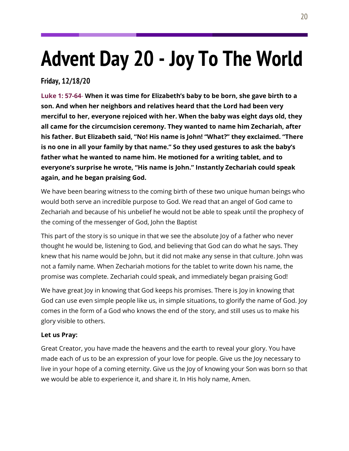## **Advent Day 20 - Joy To The World**

### **Friday, 12/18/20**

**Luke 1: 57-64**- **When it was time for Elizabeth's baby to be born, she gave birth to a son. And when her neighbors and relatives heard that the Lord had been very merciful to her, everyone rejoiced with her. When the baby was eight days old, they all came for the circumcision ceremony. They wanted to name him Zechariah, after his father. But Elizabeth said, "No! His name is John! "What?" they exclaimed. "There is no one in all your family by that name." So they used gestures to ask the baby's father what he wanted to name him. He motioned for a writing tablet, and to everyone's surprise he wrote, "His name is John." Instantly Zechariah could speak again, and he began praising God.**

We have been bearing witness to the coming birth of these two unique human beings who would both serve an incredible purpose to God. We read that an angel of God came to Zechariah and because of his unbelief he would not be able to speak until the prophecy of the coming of the messenger of God, John the Baptist

This part of the story is so unique in that we see the absolute Joy of a father who never thought he would be, listening to God, and believing that God can do what he says. They knew that his name would be John, but it did not make any sense in that culture. John was not a family name. When Zechariah motions for the tablet to write down his name, the promise was complete. Zechariah could speak, and immediately began praising God!

We have great Joy in knowing that God keeps his promises. There is Joy in knowing that God can use even simple people like us, in simple situations, to glorify the name of God. Joy comes in the form of a God who knows the end of the story, and still uses us to make his glory visible to others.

### **Let us Pray:**

Great Creator, you have made the heavens and the earth to reveal your glory. You have made each of us to be an expression of your love for people. Give us the Joy necessary to live in your hope of a coming eternity. Give us the Joy of knowing your Son was born so that we would be able to experience it, and share it. In His holy name, Amen.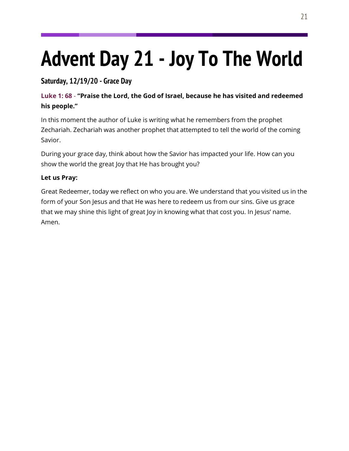## **Advent Day 21 - Joy To The World**

## **Saturday, 12/19/20 - Grace Day**

### **Luke 1: 68** - **"Praise the Lord, the God of Israel, because he has visited and redeemed his people."**

In this moment the author of Luke is writing what he remembers from the prophet Zechariah. Zechariah was another prophet that attempted to tell the world of the coming Savior.

During your grace day, think about how the Savior has impacted your life. How can you show the world the great Joy that He has brought you?

#### **Let us Pray:**

Great Redeemer, today we reflect on who you are. We understand that you visited us in the form of your Son Jesus and that He was here to redeem us from our sins. Give us grace that we may shine this light of great Joy in knowing what that cost you. In Jesus' name. Amen.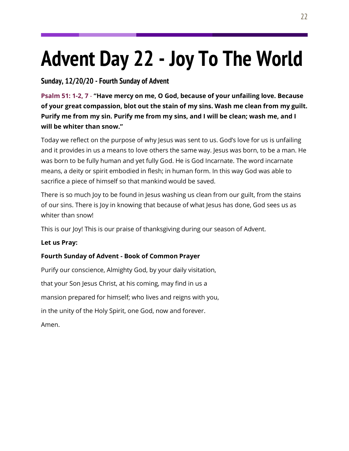## **Advent Day 22 - Joy To The World**

### **Sunday, 12/20/20 - Fourth Sunday of Advent**

**Psalm 51: 1-2, 7** - **"Have mercy on me, O God, because of your unfailing love. Because of your great compassion, blot out the stain of my sins. Wash me clean from my guilt. Purify me from my sin. Purify me from my sins, and I will be clean; wash me, and I will be whiter than snow."**

Today we reflect on the purpose of why Jesus was sent to us. God's love for us is unfailing and it provides in us a means to love others the same way. Jesus was born, to be a man. He was born to be fully human and yet fully God. He is God Incarnate. The word incarnate means, a deity or spirit embodied in flesh; in human form. In this way God was able to sacrifice a piece of himself so that mankind would be saved.

There is so much Joy to be found in Jesus washing us clean from our guilt, from the stains of our sins. There is Joy in knowing that because of what Jesus has done, God sees us as whiter than snow!

This is our Joy! This is our praise of thanksgiving during our season of Advent.

### **Let us Pray:**

### **Fourth Sunday of Advent - Book of Common Prayer**

Purify our conscience, Almighty God, by your daily visitation,

that your Son Jesus Christ, at his coming, may find in us a

mansion prepared for himself; who lives and reigns with you,

in the unity of the Holy Spirit, one God, now and forever.

Amen.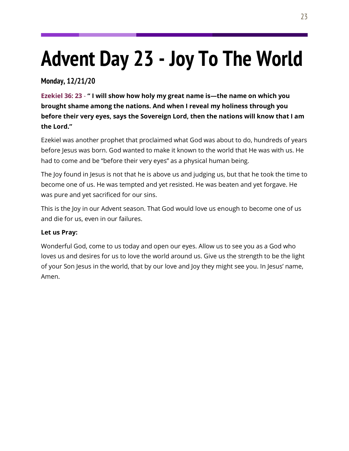## **Advent Day 23 - Joy To The World**

**Monday, 12/21/20** 

**Ezekiel 36: 23** - **" I will show how holy my great name is—the name on which you brought shame among the nations. And when I reveal my holiness through you before their very eyes, says the Sovereign Lord, then the nations will know that I am the Lord."**

Ezekiel was another prophet that proclaimed what God was about to do, hundreds of years before Jesus was born. God wanted to make it known to the world that He was with us. He had to come and be "before their very eyes" as a physical human being.

The Joy found in Jesus is not that he is above us and judging us, but that he took the time to become one of us. He was tempted and yet resisted. He was beaten and yet forgave. He was pure and yet sacrificed for our sins.

This is the Joy in our Advent season. That God would love us enough to become one of us and die for us, even in our failures.

### **Let us Pray:**

Wonderful God, come to us today and open our eyes. Allow us to see you as a God who loves us and desires for us to love the world around us. Give us the strength to be the light of your Son Jesus in the world, that by our love and Joy they might see you. In Jesus' name, Amen.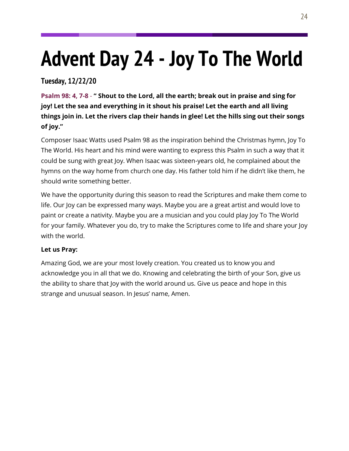## **Advent Day 24 - Joy To The World**

**Tuesday, 12/22/20** 

**Psalm 98: 4, 7-8** - **" Shout to the Lord, all the earth; break out in praise and sing for joy! Let the sea and everything in it shout his praise! Let the earth and all living things join in. Let the rivers clap their hands in glee! Let the hills sing out their songs of joy."**

Composer Isaac Watts used Psalm 98 as the inspiration behind the Christmas hymn, Joy To The World. His heart and his mind were wanting to express this Psalm in such a way that it could be sung with great Joy. When Isaac was sixteen-years old, he complained about the hymns on the way home from church one day. His father told him if he didn't like them, he should write something better.

We have the opportunity during this season to read the Scriptures and make them come to life. Our Joy can be expressed many ways. Maybe you are a great artist and would love to paint or create a nativity. Maybe you are a musician and you could play Joy To The World for your family. Whatever you do, try to make the Scriptures come to life and share your Joy with the world.

### **Let us Pray:**

Amazing God, we are your most lovely creation. You created us to know you and acknowledge you in all that we do. Knowing and celebrating the birth of your Son, give us the ability to share that Joy with the world around us. Give us peace and hope in this strange and unusual season. In Jesus' name, Amen.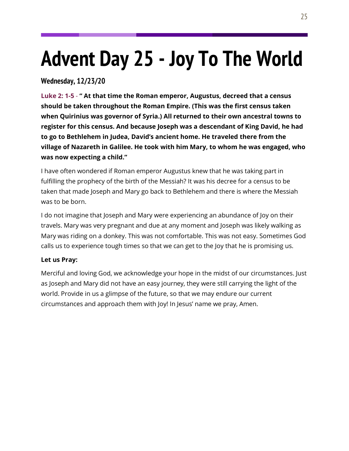## **Advent Day 25 - Joy To The World**

**Wednesday, 12/23/20** 

**Luke 2: 1-5** - **" At that time the Roman emperor, Augustus, decreed that a census should be taken throughout the Roman Empire. (This was the first census taken when Quirinius was governor of Syria.) All returned to their own ancestral towns to register for this census. And because Joseph was a descendant of King David, he had to go to Bethlehem in Judea, David's ancient home. He traveled there from the village of Nazareth in Galilee. He took with him Mary, to whom he was engaged, who was now expecting a child."**

I have often wondered if Roman emperor Augustus knew that he was taking part in fulfilling the prophecy of the birth of the Messiah? It was his decree for a census to be taken that made Joseph and Mary go back to Bethlehem and there is where the Messiah was to be born.

I do not imagine that Joseph and Mary were experiencing an abundance of Joy on their travels. Mary was very pregnant and due at any moment and Joseph was likely walking as Mary was riding on a donkey. This was not comfortable. This was not easy. Sometimes God calls us to experience tough times so that we can get to the Joy that he is promising us.

### **Let us Pray:**

Merciful and loving God, we acknowledge your hope in the midst of our circumstances. Just as Joseph and Mary did not have an easy journey, they were still carrying the light of the world. Provide in us a glimpse of the future, so that we may endure our current circumstances and approach them with Joy! In Jesus' name we pray, Amen.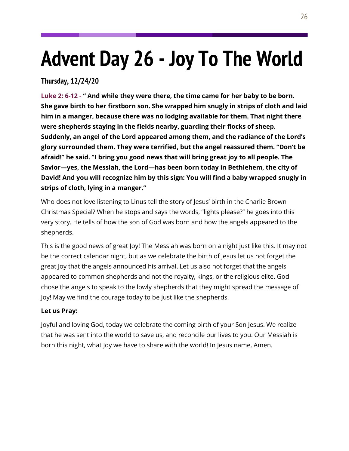## **Advent Day 26 - Joy To The World**

**Thursday, 12/24/20** 

**Luke 2: 6-12** - **" And while they were there, the time came for her baby to be born. She gave birth to her firstborn son. She wrapped him snugly in strips of cloth and laid him in a manger, because there was no lodging available for them. That night there were shepherds staying in the fields nearby, guarding their flocks of sheep. Suddenly, an angel of the Lord appeared among them, and the radiance of the Lord's glory surrounded them. They were terrified, but the angel reassured them. "Don't be afraid!" he said. "I bring you good news that will bring great joy to all people. The Savior—yes, the Messiah, the Lord—has been born today in Bethlehem, the city of David! And you will recognize him by this sign: You will find a baby wrapped snugly in strips of cloth, lying in a manger."**

Who does not love listening to Linus tell the story of Jesus' birth in the Charlie Brown Christmas Special? When he stops and says the words, "lights please?" he goes into this very story. He tells of how the son of God was born and how the angels appeared to the shepherds.

This is the good news of great Joy! The Messiah was born on a night just like this. It may not be the correct calendar night, but as we celebrate the birth of Jesus let us not forget the great Joy that the angels announced his arrival. Let us also not forget that the angels appeared to common shepherds and not the royalty, kings, or the religious elite. God chose the angels to speak to the lowly shepherds that they might spread the message of Joy! May we find the courage today to be just like the shepherds.

### **Let us Pray:**

Joyful and loving God, today we celebrate the coming birth of your Son Jesus. We realize that he was sent into the world to save us, and reconcile our lives to you. Our Messiah is born this night, what Joy we have to share with the world! In Jesus name, Amen.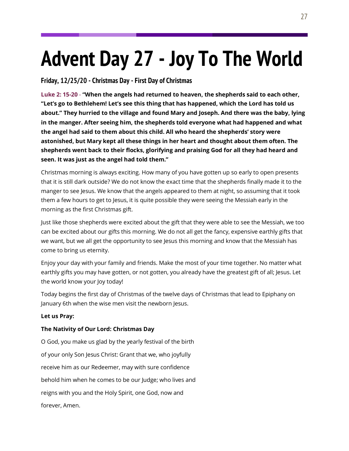## **Advent Day 27 - Joy To The World**

**Friday, 12/25/20 - Christmas Day - First Day of Christmas**

**Luke 2: 15-20** - **"When the angels had returned to heaven, the shepherds said to each other, "Let's go to Bethlehem! Let's see this thing that has happened, which the Lord has told us about." They hurried to the village and found Mary and Joseph. And there was the baby, lying in the manger. After seeing him, the shepherds told everyone what had happened and what the angel had said to them about this child. All who heard the shepherds' story were astonished, but Mary kept all these things in her heart and thought about them often. The shepherds went back to their flocks, glorifying and praising God for all they had heard and seen. It was just as the angel had told them."**

Christmas morning is always exciting. How many of you have gotten up so early to open presents that it is still dark outside? We do not know the exact time that the shepherds finally made it to the manger to see Jesus. We know that the angels appeared to them at night, so assuming that it took them a few hours to get to Jesus, it is quite possible they were seeing the Messiah early in the morning as the first Christmas gift.

Just like those shepherds were excited about the gift that they were able to see the Messiah, we too can be excited about our gifts this morning. We do not all get the fancy, expensive earthly gifts that we want, but we all get the opportunity to see Jesus this morning and know that the Messiah has come to bring us eternity.

Enjoy your day with your family and friends. Make the most of your time together. No matter what earthly gifts you may have gotten, or not gotten, you already have the greatest gift of all; Jesus. Let the world know your Joy today!

Today begins the first day of Christmas of the twelve days of Christmas that lead to Epiphany on January 6th when the wise men visit the newborn Jesus.

#### **Let us Pray:**

#### **The Nativity of Our Lord: Christmas Day**

O God, you make us glad by the yearly festival of the birth of your only Son Jesus Christ: Grant that we, who joyfully receive him as our Redeemer, may with sure confidence behold him when he comes to be our Judge; who lives and reigns with you and the Holy Spirit, one God, now and forever, Amen.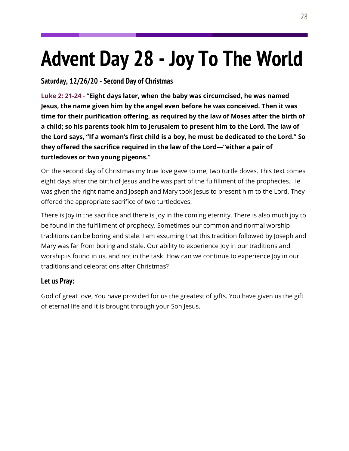## **Advent Day 28 - Joy To The World**

## **Saturday, 12/26/20 - Second Day of Christmas**

**Luke 2: 21-24** - **"Eight days later, when the baby was circumcised, he was named Jesus, the name given him by the angel even before he was conceived. Then it was time for their purification offering, as required by the law of Moses after the birth of a child; so his parents took him to Jerusalem to present him to the Lord. The law of the Lord says, "If a woman's first child is a boy, he must be dedicated to the Lord." So they offered the sacrifice required in the law of the Lord—"either a pair of turtledoves or two young pigeons."**

On the second day of Christmas my true love gave to me, two turtle doves. This text comes eight days after the birth of Jesus and he was part of the fulfillment of the prophecies. He was given the right name and Joseph and Mary took Jesus to present him to the Lord. They offered the appropriate sacrifice of two turtledoves.

There is Joy in the sacrifice and there is Joy in the coming eternity. There is also much joy to be found in the fulfillment of prophecy. Sometimes our common and normal worship traditions can be boring and stale. I am assuming that this tradition followed by Joseph and Mary was far from boring and stale. Our ability to experience Joy in our traditions and worship is found in us, and not in the task. How can we continue to experience Joy in our traditions and celebrations after Christmas?

### **Let us Pray:**

God of great love, You have provided for us the greatest of gifts. You have given us the gift of eternal life and it is brought through your Son Jesus.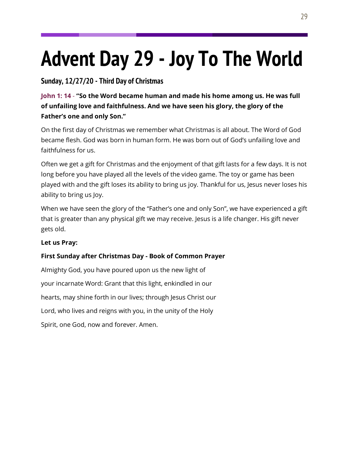## **Advent Day 29 - Joy To The World**

**Sunday, 12/27/20 - Third Day of Christmas**

## **John 1: 14** - **"So the Word became human and made his home among us. He was full of unfailing love and faithfulness. And we have seen his glory, the glory of the Father's one and only Son."**

On the first day of Christmas we remember what Christmas is all about. The Word of God became flesh. God was born in human form. He was born out of God's unfailing love and faithfulness for us.

Often we get a gift for Christmas and the enjoyment of that gift lasts for a few days. It is not long before you have played all the levels of the video game. The toy or game has been played with and the gift loses its ability to bring us joy. Thankful for us, Jesus never loses his ability to bring us Joy.

When we have seen the glory of the "Father's one and only Son", we have experienced a gift that is greater than any physical gift we may receive. Jesus is a life changer. His gift never gets old.

### **Let us Pray:**

### **First Sunday after Christmas Day - Book of Common Prayer**

Almighty God, you have poured upon us the new light of your incarnate Word: Grant that this light, enkindled in our hearts, may shine forth in our lives; through Jesus Christ our Lord, who lives and reigns with you, in the unity of the Holy Spirit, one God, now and forever. Amen.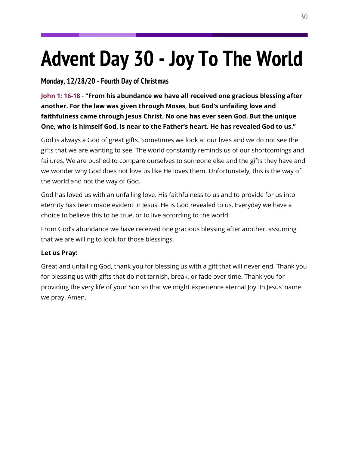## **Advent Day 30 - Joy To The World**

### **Monday, 12/28/20 - Fourth Day of Christmas**

**John 1: 16-18** - **"From his abundance we have all received one gracious blessing after another. For the law was given through Moses, but God's unfailing love and faithfulness came through Jesus Christ. No one has ever seen God. But the unique One, who is himself God, is near to the Father's heart. He has revealed God to us."**

God is always a God of great gifts. Sometimes we look at our lives and we do not see the gifts that we are wanting to see. The world constantly reminds us of our shortcomings and failures. We are pushed to compare ourselves to someone else and the gifts they have and we wonder why God does not love us like He loves them. Unfortunately, this is the way of the world and not the way of God.

God has loved us with an unfailing love. His faithfulness to us and to provide for us into eternity has been made evident in Jesus. He is God revealed to us. Everyday we have a choice to believe this to be true, or to live according to the world.

From God's abundance we have received one gracious blessing after another, assuming that we are willing to look for those blessings.

### **Let us Pray:**

Great and unfailing God, thank you for blessing us with a gift that will never end. Thank you for blessing us with gifts that do not tarnish, break, or fade over time. Thank you for providing the very life of your Son so that we might experience eternal Joy. In Jesus' name we pray. Amen.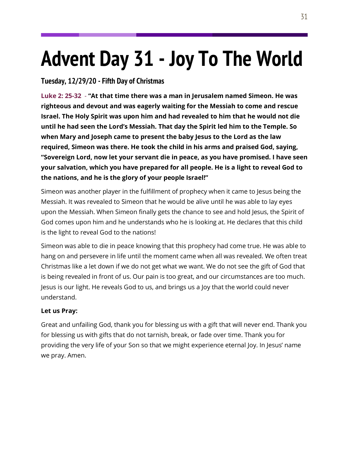## **Advent Day 31 - Joy To The World**

## **Tuesday, 12/29/20 - Fifth Day of Christmas**

**Luke 2: 25-32** - **"At that time there was a man in Jerusalem named Simeon. He was righteous and devout and was eagerly waiting for the Messiah to come and rescue Israel. The Holy Spirit was upon him and had revealed to him that he would not die until he had seen the Lord's Messiah. That day the Spirit led him to the Temple. So when Mary and Joseph came to present the baby Jesus to the Lord as the law required, Simeon was there. He took the child in his arms and praised God, saying, "Sovereign Lord, now let your servant die in peace, as you have promised. I have seen your salvation, which you have prepared for all people. He is a light to reveal God to the nations, and he is the glory of your people Israel!"**

Simeon was another player in the fulfillment of prophecy when it came to Jesus being the Messiah. It was revealed to Simeon that he would be alive until he was able to lay eyes upon the Messiah. When Simeon finally gets the chance to see and hold Jesus, the Spirit of God comes upon him and he understands who he is looking at. He declares that this child is the light to reveal God to the nations!

Simeon was able to die in peace knowing that this prophecy had come true. He was able to hang on and persevere in life until the moment came when all was revealed. We often treat Christmas like a let down if we do not get what we want. We do not see the gift of God that is being revealed in front of us. Our pain is too great, and our circumstances are too much. Jesus is our light. He reveals God to us, and brings us a Joy that the world could never understand.

### **Let us Pray:**

Great and unfailing God, thank you for blessing us with a gift that will never end. Thank you for blessing us with gifts that do not tarnish, break, or fade over time. Thank you for providing the very life of your Son so that we might experience eternal Joy. In Jesus' name we pray. Amen.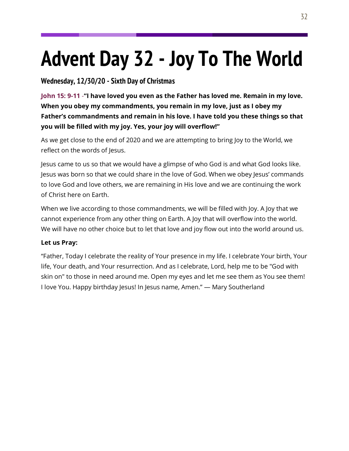## **Advent Day 32 - Joy To The World**

### **Wednesday, 12/30/20 - Sixth Day of Christmas**

**John 15: 9-11** -**"I have loved you even as the Father has loved me. Remain in my love. When you obey my commandments, you remain in my love, just as I obey my Father's commandments and remain in his love. I have told you these things so that you will be filled with my joy. Yes, your joy will overflow!"**

As we get close to the end of 2020 and we are attempting to bring Joy to the World, we reflect on the words of Jesus.

Jesus came to us so that we would have a glimpse of who God is and what God looks like. Jesus was born so that we could share in the love of God. When we obey Jesus' commands to love God and love others, we are remaining in His love and we are continuing the work of Christ here on Earth.

When we live according to those commandments, we will be filled with Joy. A Joy that we cannot experience from any other thing on Earth. A Joy that will overflow into the world. We will have no other choice but to let that love and joy flow out into the world around us.

### **Let us Pray:**

"Father, Today I celebrate the reality of Your presence in my life. I celebrate Your birth, Your life, Your death, and Your resurrection. And as I celebrate, Lord, help me to be "God with skin on" to those in need around me. Open my eyes and let me see them as You see them! I love You. Happy birthday Jesus! In Jesus name, Amen." — Mary Southerland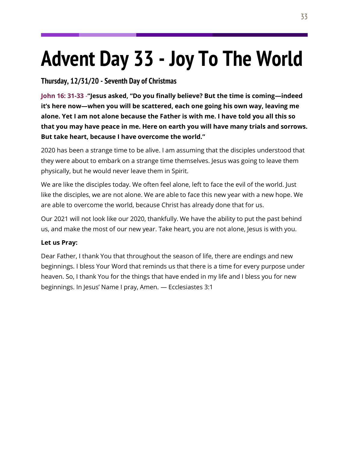## **Advent Day 33 - Joy To The World**

### **Thursday, 12/31/20 - Seventh Day of Christmas**

**John 16: 31-33** -**"Jesus asked, "Do you finally believe? But the time is coming—indeed it's here now—when you will be scattered, each one going his own way, leaving me alone. Yet I am not alone because the Father is with me. I have told you all this so that you may have peace in me. Here on earth you will have many trials and sorrows. But take heart, because I have overcome the world."**

2020 has been a strange time to be alive. I am assuming that the disciples understood that they were about to embark on a strange time themselves. Jesus was going to leave them physically, but he would never leave them in Spirit.

We are like the disciples today. We often feel alone, left to face the evil of the world. Just like the disciples, we are not alone. We are able to face this new year with a new hope. We are able to overcome the world, because Christ has already done that for us.

Our 2021 will not look like our 2020, thankfully. We have the ability to put the past behind us, and make the most of our new year. Take heart, you are not alone, Jesus is with you.

### **Let us Pray:**

Dear Father, I thank You that throughout the season of life, there are endings and new beginnings. I bless Your Word that reminds us that there is a time for every purpose under heaven. So, I thank You for the things that have ended in my life and I bless you for new beginnings. In Jesus' Name I pray, Amen. — Ecclesiastes 3:1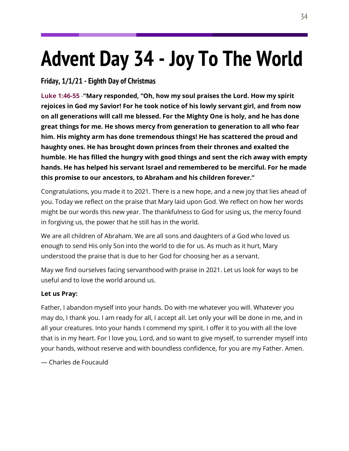## **Advent Day 34 - Joy To The World**

## **Friday, 1/1/21 - Eighth Day of Christmas**

**Luke 1:46-55** -**"Mary responded, "Oh, how my soul praises the Lord. How my spirit rejoices in God my Savior! For he took notice of his lowly servant girl, and from now on all generations will call me blessed. For the Mighty One is holy, and he has done great things for me. He shows mercy from generation to generation to all who fear him. His mighty arm has done tremendous things! He has scattered the proud and haughty ones. He has brought down princes from their thrones and exalted the humble. He has filled the hungry with good things and sent the rich away with empty hands. He has helped his servant Israel and remembered to be merciful. For he made this promise to our ancestors, to Abraham and his children forever."**

Congratulations, you made it to 2021. There is a new hope, and a new joy that lies ahead of you. Today we reflect on the praise that Mary laid upon God. We reflect on how her words might be our words this new year. The thankfulness to God for using us, the mercy found in forgiving us, the power that he still has in the world.

We are all children of Abraham. We are all sons and daughters of a God who loved us enough to send His only Son into the world to die for us. As much as it hurt, Mary understood the praise that is due to her God for choosing her as a servant.

May we find ourselves facing servanthood with praise in 2021. Let us look for ways to be useful and to love the world around us.

### **Let us Pray:**

Father, I abandon myself into your hands. Do with me whatever you will. Whatever you may do, I thank you. I am ready for all, I accept all. Let only your will be done in me, and in all your creatures. Into your hands I commend my spirit. I offer it to you with all the love that is in my heart. For I love you, Lord, and so want to give myself, to surrender myself into your hands, without reserve and with boundless confidence, for you are my Father. Amen.

— Charles de Foucauld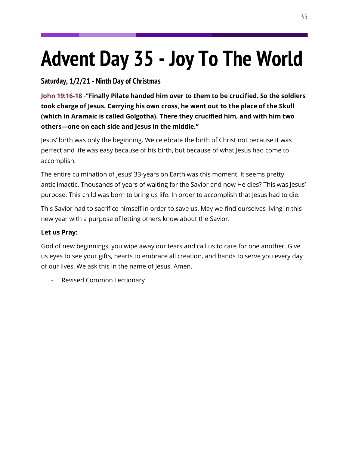## **Advent Day 35 - Joy To The World**

## **Saturday, 1/2/21 - Ninth Day of Christmas**

**John 19:16-18** -**"Finally Pilate handed him over to them to be crucified. So the soldiers took charge of Jesus. Carrying his own cross, he went out to the place of the Skull (which in Aramaic is called Golgotha). There they crucified him, and with him two others—one on each side and Jesus in the middle."**

Jesus' birth was only the beginning. We celebrate the birth of Christ not because it was perfect and life was easy because of his birth, but because of what Jesus had come to accomplish.

The entire culmination of Jesus' 33-years on Earth was this moment. It seems pretty anticlimactic. Thousands of years of waiting for the Savior and now He dies? This was Jesus' purpose. This child was born to bring us life. In order to accomplish that Jesus had to die.

This Savior had to sacrifice himself in order to save us. May we find ourselves living in this new year with a purpose of letting others know about the Savior.

### **Let us Pray:**

God of new beginnings, you wipe away our tears and call us to care for one another. Give us eyes to see your gifts, hearts to embrace all creation, and hands to serve you every day of our lives. We ask this in the name of Jesus. Amen.

Revised Common Lectionary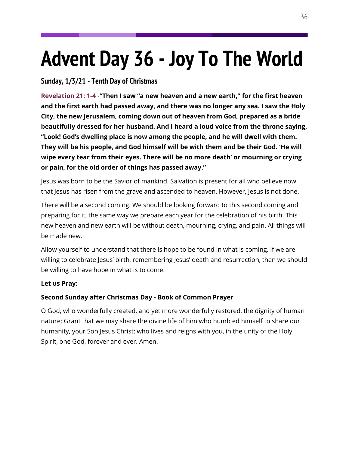## **Advent Day 36 - Joy To The World**

### **Sunday, 1/3/21 - Tenth Day of Christmas**

**Revelation 21: 1-4** -**"Then I saw "a new heaven and a new earth," for the first heaven and the first earth had passed away, and there was no longer any sea. I saw the Holy City, the new Jerusalem, coming down out of heaven from God, prepared as a bride beautifully dressed for her husband. And I heard a loud voice from the throne saying, "Look! God's dwelling place is now among the people, and he will dwell with them. They will be his people, and God himself will be with them and be their God. 'He will wipe every tear from their eyes. There will be no more death' or mourning or crying or pain, for the old order of things has passed away."**

Jesus was born to be the Savior of mankind. Salvation is present for all who believe now that Jesus has risen from the grave and ascended to heaven. However, Jesus is not done.

There will be a second coming. We should be looking forward to this second coming and preparing for it, the same way we prepare each year for the celebration of his birth. This new heaven and new earth will be without death, mourning, crying, and pain. All things will be made new.

Allow yourself to understand that there is hope to be found in what is coming. If we are willing to celebrate Jesus' birth, remembering Jesus' death and resurrection, then we should be willing to have hope in what is to come.

#### **Let us Pray:**

### **Second Sunday after Christmas Day - Book of Common Prayer**

O God, who wonderfully created, and yet more wonderfully restored, the dignity of human nature: Grant that we may share the divine life of him who humbled himself to share our humanity, your Son Jesus Christ; who lives and reigns with you, in the unity of the Holy Spirit, one God, forever and ever. Amen.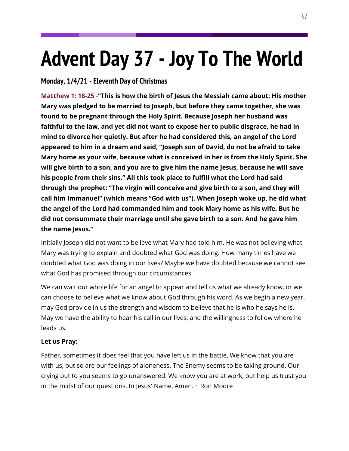## **Advent Day 37 - Joy To The World**

### **Monday, 1/4/21 - Eleventh Day of Christmas**

**Matthew 1: 18-25** -**"This is how the birth of Jesus the Messiah came about: His mother Mary was pledged to be married to Joseph, but before they came together, she was found to be pregnant through the Holy Spirit. Because Joseph her husband was faithful to the law, and yet did not want to expose her to public disgrace, he had in mind to divorce her quietly. But after he had considered this, an angel of the Lord appeared to him in a dream and said, "Joseph son of David, do not be afraid to take Mary home as your wife, because what is conceived in her is from the Holy Spirit. She will give birth to a son, and you are to give him the name Jesus, because he will save his people from their sins." All this took place to fulfill what the Lord had said through the prophet: "The virgin will conceive and give birth to a son, and they will call him Immanuel" (which means "God with us"). When Joseph woke up, he did what the angel of the Lord had commanded him and took Mary home as his wife. But he did not consummate their marriage until she gave birth to a son. And he gave him the name Jesus."**

Initially Joseph did not want to believe what Mary had told him. He was not believing what Mary was trying to explain and doubted what God was doing. How many times have we doubted what God was doing in our lives? Maybe we have doubted because we cannot see what God has promised through our circumstances.

We can wait our whole life for an angel to appear and tell us what we already know, or we can choose to believe what we know about God through his word. As we begin a new year, may God provide in us the strength and wisdom to believe that he is who he says he is. May we have the ability to hear his call in our lives, and the willingness to follow where he leads us.

#### **Let us Pray:**

Father, sometimes it does feel that you have left us in the battle. We know that you are with us, but so are our feelings of aloneness. The Enemy seems to be taking ground. Our crying out to you seems to go unanswered. We know you are at work, but help us trust you in the midst of our questions. In Jesus' Name, Amen. ~ Ron Moore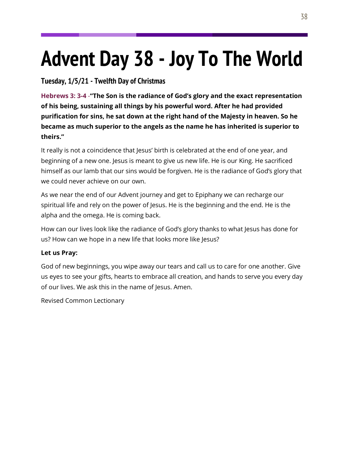## **Advent Day 38 - Joy To The World**

## **Tuesday, 1/5/21 - Twelfth Day of Christmas**

**Hebrews 3: 3-4** -**"The Son is the radiance of God's glory and the exact representation of his being, sustaining all things by his powerful word. After he had provided purification for sins, he sat down at the right hand of the Majesty in heaven. So he became as much superior to the angels as the name he has inherited is superior to theirs."**

It really is not a coincidence that Jesus' birth is celebrated at the end of one year, and beginning of a new one. Jesus is meant to give us new life. He is our King. He sacrificed himself as our lamb that our sins would be forgiven. He is the radiance of God's glory that we could never achieve on our own.

As we near the end of our Advent journey and get to Epiphany we can recharge our spiritual life and rely on the power of Jesus. He is the beginning and the end. He is the alpha and the omega. He is coming back.

How can our lives look like the radiance of God's glory thanks to what Jesus has done for us? How can we hope in a new life that looks more like Jesus?

### **Let us Pray:**

God of new beginnings, you wipe away our tears and call us to care for one another. Give us eyes to see your gifts, hearts to embrace all creation, and hands to serve you every day of our lives. We ask this in the name of Jesus. Amen.

Revised Common Lectionary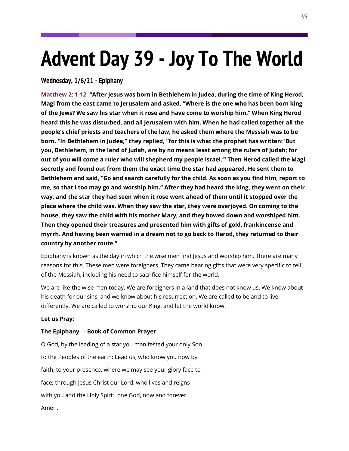## **Advent Day 39 - Joy To The World**

#### **Wednesday, 1/6/21 - Epiphany**

**Matthew 2: 1-12** -**"After Jesus was born in Bethlehem in Judea, during the time of King Herod, Magi from the east came to Jerusalem and asked, "Where is the one who has been born king of the Jews? We saw his star when it rose and have come to worship him." When King Herod heard this he was disturbed, and all Jerusalem with him. When he had called together all the people's chief priests and teachers of the law, he asked them where the Messiah was to be born. "In Bethlehem in Judea," they replied, "for this is what the prophet has written: 'But you, Bethlehem, in the land of Judah, are by no means least among the rulers of Judah; for out of you will come a ruler who will shepherd my people Israel.'" Then Herod called the Magi secretly and found out from them the exact time the star had appeared. He sent them to Bethlehem and said, "Go and search carefully for the child. As soon as you find him, report to me, so that I too may go and worship him." After they had heard the king, they went on their way, and the star they had seen when it rose went ahead of them until it stopped over the place where the child was. When they saw the star, they were overjoyed. On coming to the house, they saw the child with his mother Mary, and they bowed down and worshiped him. Then they opened their treasures and presented him with gifts of gold, frankincense and myrrh. And having been warned in a dream not to go back to Herod, they returned to their country by another route."**

Epiphany is known as the day in which the wise men find Jesus and worship him. There are many reasons for this. These men were foreigners. They came bearing gifts that were very specific to tell of the Messiah, including his need to sacrifice himself for the world.

We are like the wise men today. We are foreigners in a land that does not know us. We know about his death for our sins, and we know about his resurrection. We are called to be and to live differently. We are called to worship our King, and let the world know.

#### **Let us Pray:**

#### **The Epiphany - Book of Common Prayer**

O God, by the leading of a star you manifested your only Son to the Peoples of the earth: Lead us, who know you now by faith, to your presence, where we may see your glory face to face; through Jesus Christ our Lord, who lives and reigns with you and the Holy Spirit, one God, now and forever. Amen.